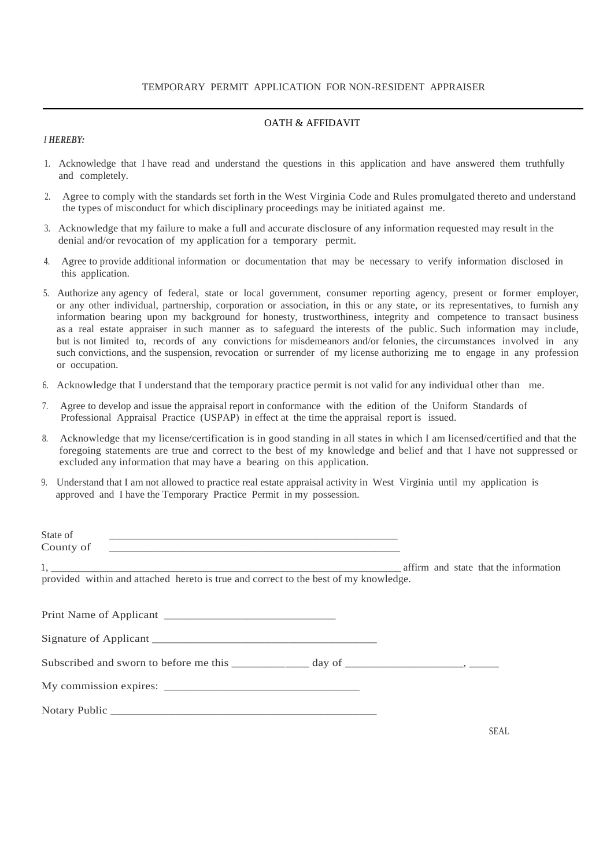### TEMPORARY PERMIT APPLICATION FOR NON-RESIDENT APPRAISER

### OATH & AFFIDAVIT

### *I HEREBY:*

- 1. Acknowledge that I have read and understand the questions in this application and have answered them truthfully and completely.
- 2. Agree to comply with the standards set forth in the West Virginia Code and Rules promulgated thereto and understand the types of misconduct for which disciplinary proceedings may be initiated against me.
- 3. Acknowledge that my failure to make a full and accurate disclosure of any information requested may result in the denial and/or revocation of my application for a temporary permit.
- 4. Agree to provide additional information or documentation that may be necessary to verify information disclosed in this application.
- 5. Authorize any agency of federal, state or local government, consumer reporting agency, present or former employer, or any other individual, partnership, corporation or association, in this or any state, or its representatives, to furnish any information bearing upon my background for honesty, trustworthiness, integrity and competence to transact business as a real estate appraiser in such manner as to safeguard the interests of the public. Such information may include, but is not limited to, records of any convictions for misdemeanors and/or felonies, the circumstances involved in any such convictions, and the suspension, revocation or surrender of my license authorizing me to engage in any profession or occupation.
- 6. Acknowledge that I understand that the temporary practice permit is not valid for any individual other than me.
- 7. Agree to develop and issue the appraisal report in conformance with the edition of the Uniform Standards of Professional Appraisal Practice (USPAP) in effect at the time the appraisal report is issued.
- 8. Acknowledge that my license/certification is in good standing in all states in which I am licensed/certified and that the foregoing statements are true and correct to the best of my knowledge and belief and that I have not suppressed or excluded any information that may have a bearing on this application.
- 9. Understand that I am not allowed to practice real estate appraisal activity in West Virginia until my application is approved and I have the Temporary Practice Permit in my possession.

| State of<br>County of                                                                |  |                                       |
|--------------------------------------------------------------------------------------|--|---------------------------------------|
| provided within and attached hereto is true and correct to the best of my knowledge. |  | affirm and state that the information |
|                                                                                      |  |                                       |
|                                                                                      |  |                                       |
|                                                                                      |  |                                       |
|                                                                                      |  |                                       |
|                                                                                      |  |                                       |
|                                                                                      |  | SEAL.                                 |